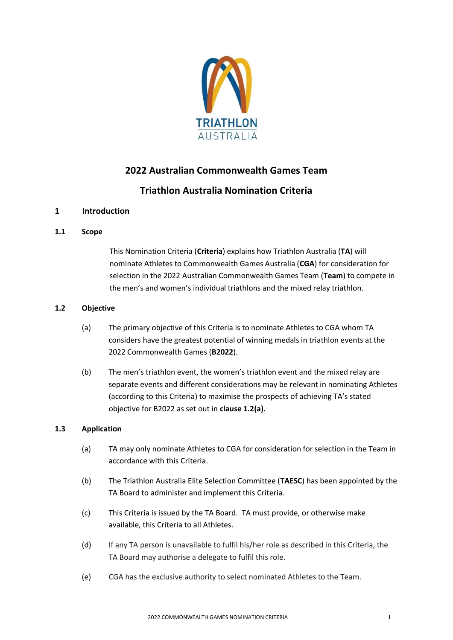

# **2022 Australian Commonwealth Games Team**

# **Triathlon Australia Nomination Criteria**

# **1 Introduction**

# **1.1 Scope**

This Nomination Criteria (**Criteria**) explains how Triathlon Australia (**TA**) will nominate Athletes to Commonwealth Games Australia (**CGA**) for consideration for selection in the 2022 Australian Commonwealth Games Team (**Team**) to compete in the men's and women's individual triathlons and the mixed relay triathlon.

# **1.2 Objective**

- (a) The primary objective of this Criteria is to nominate Athletes to CGA whom TA considers have the greatest potential of winning medals in triathlon events at the 2022 Commonwealth Games (**B2022**).
- (b) The men's triathlon event, the women's triathlon event and the mixed relay are separate events and different considerations may be relevant in nominating Athletes (according to this Criteria) to maximise the prospects of achieving TA's stated objective for B2022 as set out in **clause 1.2(a).**

# **1.3 Application**

- (a) TA may only nominate Athletes to CGA for consideration for selection in the Team in accordance with this Criteria.
- (b) The Triathlon Australia Elite Selection Committee (**TAESC**) has been appointed by the TA Board to administer and implement this Criteria.
- (c) This Criteria is issued by the TA Board. TA must provide, or otherwise make available, this Criteria to all Athletes.
- (d) If any TA person is unavailable to fulfil his/her role as described in this Criteria, the TA Board may authorise a delegate to fulfil this role.
- (e) CGA has the exclusive authority to select nominated Athletes to the Team.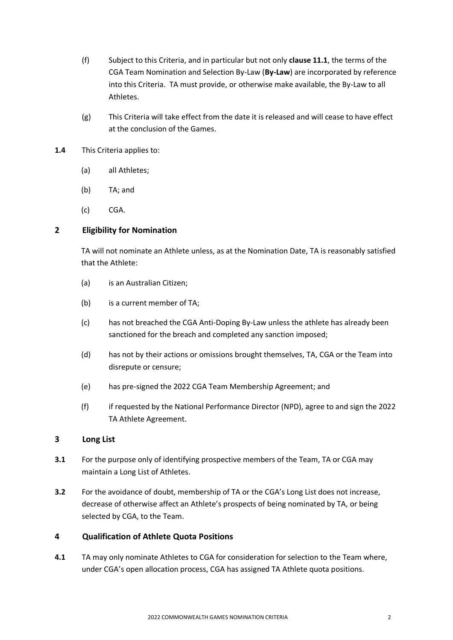- (f) Subject to this Criteria, and in particular but not only **clause 11.1**, the terms of the CGA Team Nomination and Selection By-Law (**By-Law**) are incorporated by reference into this Criteria. TA must provide, or otherwise make available, the By-Law to all Athletes.
- (g) This Criteria will take effect from the date it is released and will cease to have effect at the conclusion of the Games.
- **1.4** This Criteria applies to:
	- (a) all Athletes;
	- (b) TA; and
	- (c) CGA.

# **2 Eligibility for Nomination**

TA will not nominate an Athlete unless, as at the Nomination Date, TA is reasonably satisfied that the Athlete:

- (a) is an Australian Citizen;
- (b) is a current member of TA;
- (c) has not breached the CGA Anti-Doping By-Law unless the athlete has already been sanctioned for the breach and completed any sanction imposed;
- (d) has not by their actions or omissions brought themselves, TA, CGA or the Team into disrepute or censure;
- (e) has pre-signed the 2022 CGA Team Membership Agreement; and
- (f) if requested by the National Performance Director (NPD), agree to and sign the 2022 TA Athlete Agreement.

# **3 Long List**

- **3.1** For the purpose only of identifying prospective members of the Team, TA or CGA may maintain a Long List of Athletes.
- **3.2** For the avoidance of doubt, membership of TA or the CGA's Long List does not increase, decrease of otherwise affect an Athlete's prospects of being nominated by TA, or being selected by CGA, to the Team.

## **4 Qualification of Athlete Quota Positions**

**4.1** TA may only nominate Athletes to CGA for consideration for selection to the Team where, under CGA's open allocation process, CGA has assigned TA Athlete quota positions.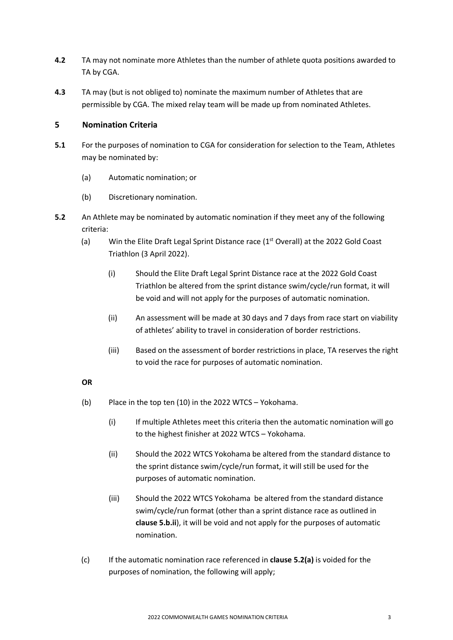- **4.2** TA may not nominate more Athletes than the number of athlete quota positions awarded to TA by CGA.
- **4.3** TA may (but is not obliged to) nominate the maximum number of Athletes that are permissible by CGA. The mixed relay team will be made up from nominated Athletes.

# **5 Nomination Criteria**

- **5.1** For the purposes of nomination to CGA for consideration for selection to the Team, Athletes may be nominated by:
	- (a) Automatic nomination; or
	- (b) Discretionary nomination.
- **5.2** An Athlete may be nominated by automatic nomination if they meet any of the following criteria:
	- (a) Win the Elite Draft Legal Sprint Distance race  $(1<sup>st</sup>$  Overall) at the 2022 Gold Coast Triathlon (3 April 2022).
		- (i) Should the Elite Draft Legal Sprint Distance race at the 2022 Gold Coast Triathlon be altered from the sprint distance swim/cycle/run format, it will be void and will not apply for the purposes of automatic nomination.
		- (ii) An assessment will be made at 30 days and 7 days from race start on viability of athletes' ability to travel in consideration of border restrictions.
		- (iii) Based on the assessment of border restrictions in place, TA reserves the right to void the race for purposes of automatic nomination.

# **OR**

- (b) Place in the top ten (10) in the 2022 WTCS Yokohama.
	- (i) If multiple Athletes meet this criteria then the automatic nomination will go to the highest finisher at 2022 WTCS – Yokohama.
	- (ii) Should the 2022 WTCS Yokohama be altered from the standard distance to the sprint distance swim/cycle/run format, it will still be used for the purposes of automatic nomination.
	- (iii) Should the 2022 WTCS Yokohama be altered from the standard distance swim/cycle/run format (other than a sprint distance race as outlined in **clause 5.b.ii**), it will be void and not apply for the purposes of automatic nomination.
- (c) If the automatic nomination race referenced in **clause 5.2(a)** is voided for the purposes of nomination, the following will apply;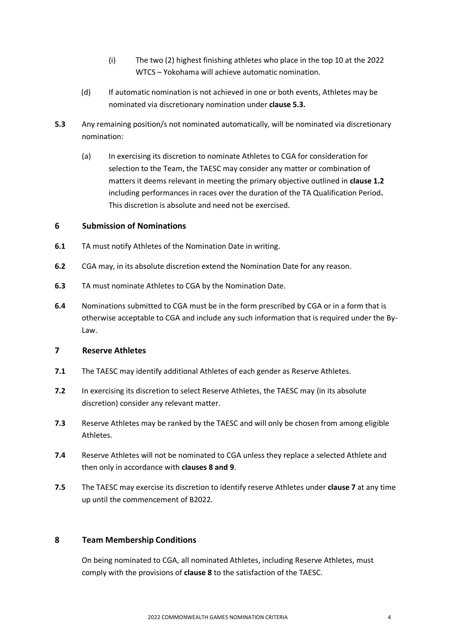- (i) The two (2) highest finishing athletes who place in the top 10 at the 2022 WTCS – Yokohama will achieve automatic nomination.
- (d) If automatic nomination is not achieved in one or both events, Athletes may be nominated via discretionary nomination under **clause 5.3.**
- **5.3** Any remaining position/s not nominated automatically, will be nominated via discretionary nomination:
	- (a) In exercising its discretion to nominate Athletes to CGA for consideration for selection to the Team, the TAESC may consider any matter or combination of matters it deems relevant in meeting the primary objective outlined in **clause 1.2** including performances in races over the duration of the TA Qualification Period**.**  This discretion is absolute and need not be exercised.

# **6 Submission of Nominations**

- **6.1** TA must notify Athletes of the Nomination Date in writing.
- **6.2** CGA may, in its absolute discretion extend the Nomination Date for any reason.
- **6.3** TA must nominate Athletes to CGA by the Nomination Date.
- **6.4** Nominations submitted to CGA must be in the form prescribed by CGA or in a form that is otherwise acceptable to CGA and include any such information that is required under the By-Law.

### **7 Reserve Athletes**

- **7.1** The TAESC may identify additional Athletes of each gender as Reserve Athletes.
- **7.2** In exercising its discretion to select Reserve Athletes, the TAESC may (in its absolute discretion) consider any relevant matter.
- **7.3** Reserve Athletes may be ranked by the TAESC and will only be chosen from among eligible Athletes.
- **7.4** Reserve Athletes will not be nominated to CGA unless they replace a selected Athlete and then only in accordance with **clauses 8 and 9**.
- **7.5** The TAESC may exercise its discretion to identify reserve Athletes under **clause 7** at any time up until the commencement of B2022.

### **8 Team Membership Conditions**

On being nominated to CGA, all nominated Athletes, including Reserve Athletes, must comply with the provisions of **clause 8** to the satisfaction of the TAESC.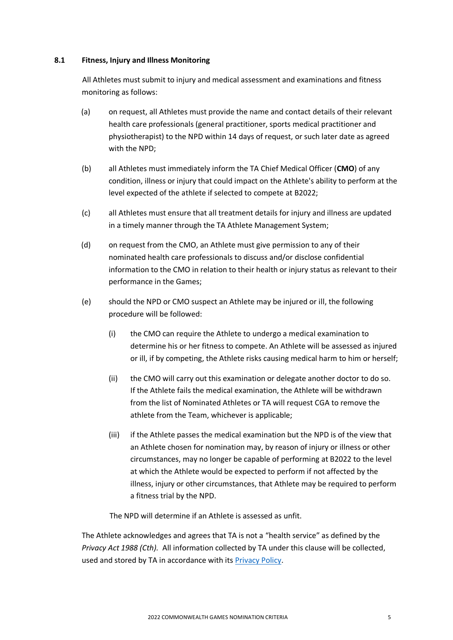#### **8.1 Fitness, Injury and Illness Monitoring**

All Athletes must submit to injury and medical assessment and examinations and fitness monitoring as follows:

- (a) on request, all Athletes must provide the name and contact details of their relevant health care professionals (general practitioner, sports medical practitioner and physiotherapist) to the NPD within 14 days of request, or such later date as agreed with the NPD;
- (b) all Athletes must immediately inform the TA Chief Medical Officer (**CMO**) of any condition, illness or injury that could impact on the Athlete's ability to perform at the level expected of the athlete if selected to compete at B2022;
- (c) all Athletes must ensure that all treatment details for injury and illness are updated in a timely manner through the TA Athlete Management System;
- (d) on request from the CMO, an Athlete must give permission to any of their nominated health care professionals to discuss and/or disclose confidential information to the CMO in relation to their health or injury status as relevant to their performance in the Games;
- (e) should the NPD or CMO suspect an Athlete may be injured or ill, the following procedure will be followed:
	- (i) the CMO can require the Athlete to undergo a medical examination to determine his or her fitness to compete. An Athlete will be assessed as injured or ill, if by competing, the Athlete risks causing medical harm to him or herself;
	- (ii) the CMO will carry out this examination or delegate another doctor to do so. If the Athlete fails the medical examination, the Athlete will be withdrawn from the list of Nominated Athletes or TA will request CGA to remove the athlete from the Team, whichever is applicable;
	- (iii) if the Athlete passes the medical examination but the NPD is of the view that an Athlete chosen for nomination may, by reason of injury or illness or other circumstances, may no longer be capable of performing at B2022 to the level at which the Athlete would be expected to perform if not affected by the illness, injury or other circumstances, that Athlete may be required to perform a fitness trial by the NPD.

The NPD will determine if an Athlete is assessed as unfit.

The Athlete acknowledges and agrees that TA is not a "health service" as defined by the *Privacy Act 1988 (Cth).* All information collected by TA under this clause will be collected, used and stored by TA in accordance with its [Privacy Policy.](http://www.triathlon.org.au/Assets/Triathlon+Australia+Digital+Assets/Triathlon+Australia+Privacy+Policy+-+July+2018.pdf)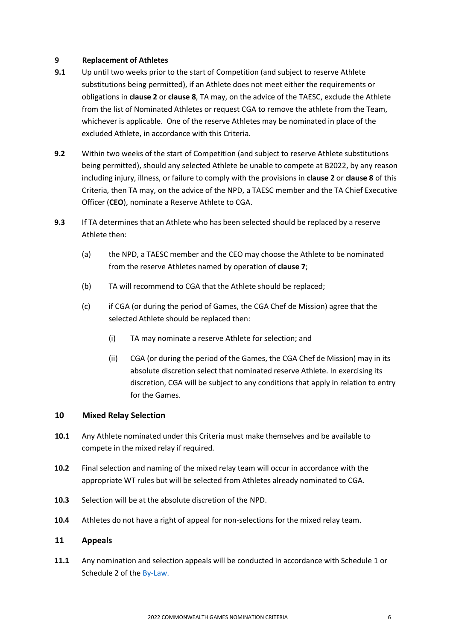### **9 Replacement of Athletes**

- **9.1** Up until two weeks prior to the start of Competition (and subject to reserve Athlete substitutions being permitted), if an Athlete does not meet either the requirements or obligations in **clause 2** or **clause 8**, TA may, on the advice of the TAESC, exclude the Athlete from the list of Nominated Athletes or request CGA to remove the athlete from the Team, whichever is applicable. One of the reserve Athletes may be nominated in place of the excluded Athlete, in accordance with this Criteria.
- **9.2** Within two weeks of the start of Competition (and subject to reserve Athlete substitutions being permitted), should any selected Athlete be unable to compete at B2022, by any reason including injury, illness, or failure to comply with the provisions in **clause 2** or **clause 8** of this Criteria, then TA may, on the advice of the NPD, a TAESC member and the TA Chief Executive Officer (**CEO**), nominate a Reserve Athlete to CGA.
- **9.3** If TA determines that an Athlete who has been selected should be replaced by a reserve Athlete then:
	- (a) the NPD, a TAESC member and the CEO may choose the Athlete to be nominated from the reserve Athletes named by operation of **clause 7**;
	- (b) TA will recommend to CGA that the Athlete should be replaced;
	- (c) if CGA (or during the period of Games, the CGA Chef de Mission) agree that the selected Athlete should be replaced then:
		- (i) TA may nominate a reserve Athlete for selection; and
		- (ii) CGA (or during the period of the Games, the CGA Chef de Mission) may in its absolute discretion select that nominated reserve Athlete. In exercising its discretion, CGA will be subject to any conditions that apply in relation to entry for the Games.

### **10 Mixed Relay Selection**

- **10.1** Any Athlete nominated under this Criteria must make themselves and be available to compete in the mixed relay if required.
- **10.2** Final selection and naming of the mixed relay team will occur in accordance with the appropriate WT rules but will be selected from Athletes already nominated to CGA.
- **10.3** Selection will be at the absolute discretion of the NPD.
- **10.4** Athletes do not have a right of appeal for non-selections for the mixed relay team.

### **11 Appeals**

**11.1** Any nomination and selection appeals will be conducted in accordance with Schedule 1 or Schedule 2 of the [By-Law.](https://commonwealthgames.com.au/wp-content/uploads/Team-Nomination-Selection-Appeals-By-Laws-VACCINATION.pdf)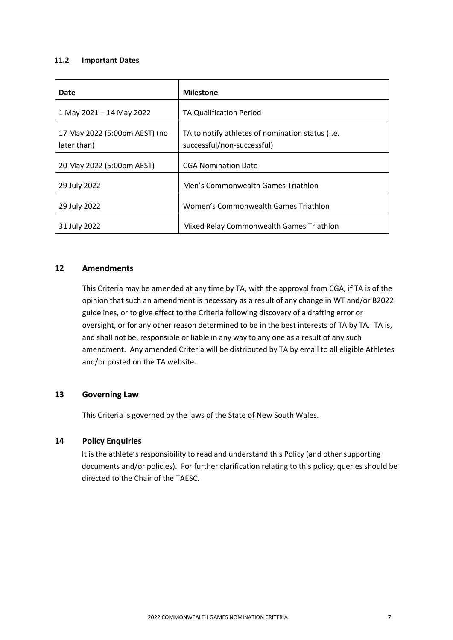#### **11.2 Important Dates**

| Date                                         | <b>Milestone</b>                                                               |
|----------------------------------------------|--------------------------------------------------------------------------------|
| 1 May 2021 - 14 May 2022                     | TA Qualification Period                                                        |
| 17 May 2022 (5:00pm AEST) (no<br>later than) | TA to notify athletes of nomination status (i.e.<br>successful/non-successful) |
| 20 May 2022 (5:00pm AEST)                    | <b>CGA Nomination Date</b>                                                     |
| 29 July 2022                                 | Men's Commonwealth Games Triathlon                                             |
| 29 July 2022                                 | Women's Commonwealth Games Triathlon                                           |
| 31 July 2022                                 | Mixed Relay Commonwealth Games Triathlon                                       |

## **12 Amendments**

This Criteria may be amended at any time by TA, with the approval from CGA, if TA is of the opinion that such an amendment is necessary as a result of any change in WT and/or B2022 guidelines, or to give effect to the Criteria following discovery of a drafting error or oversight, or for any other reason determined to be in the best interests of TA by TA. TA is, and shall not be, responsible or liable in any way to any one as a result of any such amendment. Any amended Criteria will be distributed by TA by email to all eligible Athletes and/or posted on the TA website.

## **13 Governing Law**

This Criteria is governed by the laws of the State of New South Wales.

# **14 Policy Enquiries**

It is the athlete's responsibility to read and understand this Policy (and other supporting documents and/or policies).For further clarification relating to this policy, queries should be directed to the Chair of the TAESC.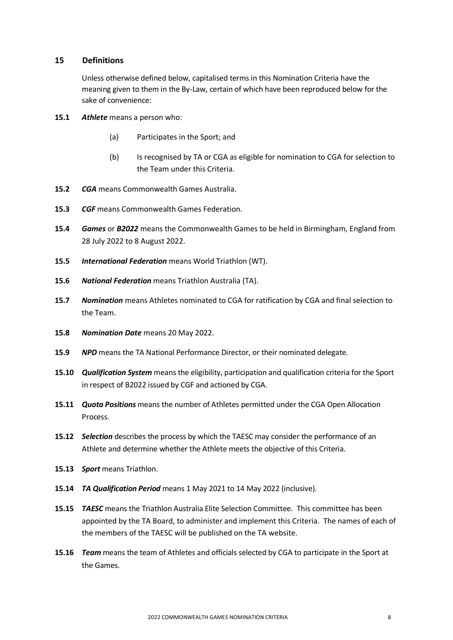### **15 Definitions**

Unless otherwise defined below, capitalised terms in this Nomination Criteria have the meaning given to them in the By-Law, certain of which have been reproduced below for the sake of convenience:

- **15.1** *Athlete* means a person who:
	- (a) Participates in the Sport; and
	- (b) Is recognised by TA or CGA as eligible for nomination to CGA for selection to the Team under this Criteria.
- **15.2** *CGA* means Commonwealth Games Australia.
- **15.3** *CGF* means Commonwealth Games Federation.
- **15.4** *Games* or *B2022* means the Commonwealth Games to be held in Birmingham, England from 28 July 2022 to 8 August 2022.
- **15.5** *International Federation* means World Triathlon (WT).
- **15.6** *National Federation* means Triathlon Australia (TA).
- **15.7** *Nomination* means Athletes nominated to CGA for ratification by CGA and final selection to the Team.
- **15.8** *Nomination Date* means 20 May 2022.
- **15.9** *NPD* means the TA National Performance Director, or their nominated delegate.
- **15.10** *Qualification System* means the eligibility, participation and qualification criteria for the Sport in respect of B2022 issued by CGF and actioned by CGA.
- **15.11** *Quota Positions* means the number of Athletes permitted under the CGA Open Allocation Process.
- **15.12** *Selection* describes the process by which the TAESC may consider the performance of an Athlete and determine whether the Athlete meets the objective of this Criteria.
- **15.13** *Sport* means Triathlon.
- **15.14** *TA Qualification Period* means 1 May 2021 to 14 May 2022 (inclusive).
- **15.15** *TAESC* means the Triathlon Australia Elite Selection Committee. This committee has been appointed by the TA Board, to administer and implement this Criteria. The names of each of the members of the TAESC will be published on the TA website.
- **15.16** *Team* means the team of Athletes and officials selected by CGA to participate in the Sport at the Games.